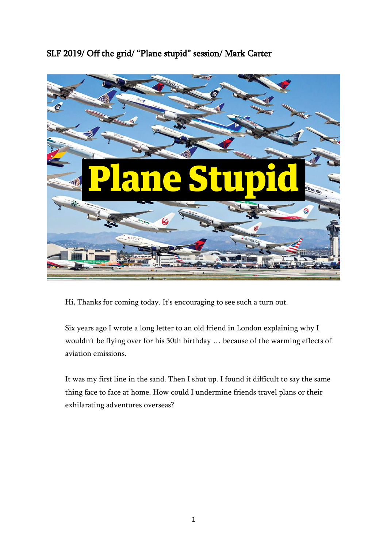SLF 2019/ Off the grid/ "Plane stupid" session/ Mark Carter



Hi, Thanks for coming today. It's encouraging to see such a turn out.

Six years ago I wrote a long letter to an old friend in London explaining why I wouldn't be flying over for his 50th birthday … because of the warming effects of aviation emissions.

It was my first line in the sand. Then I shut up. I found it difficult to say the same thing face to face at home. How could I undermine friends travel plans or their exhilarating adventures overseas?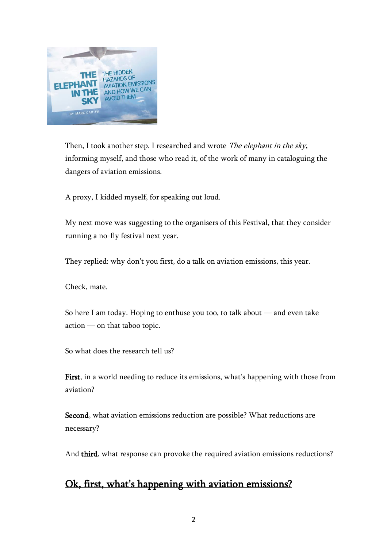

Then, I took another step. I researched and wrote The elephant in the sky, informing myself, and those who read it, of the work of many in cataloguing the dangers of aviation emissions.

A proxy, I kidded myself, for speaking out loud.

My next move was suggesting to the organisers of this Festival, that they consider running a no-fly festival next year.

They replied: why don't you first, do a talk on aviation emissions, this year.

Check, mate.

So here I am today. Hoping to enthuse you too, to talk about — and even take action — on that taboo topic.

So what does the research tell us?

First, in a world needing to reduce its emissions, what's happening with those from aviation?

Second, what aviation emissions reduction are possible? What reductions are necessary?

And third, what response can provoke the required aviation emissions reductions?

### Ok, first, what's happening with aviation emissions?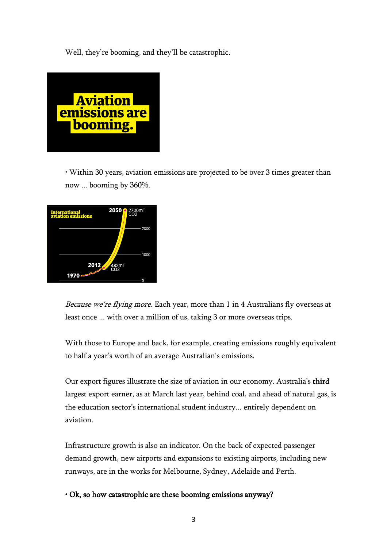Well, they're booming, and they'll be catastrophic.



• Within 30 years, aviation emissions are projected to be over 3 times greater than now ... booming by 360%.



Because we're flying more. Each year, more than 1 in 4 Australians fly overseas at least once ... with over a million of us, taking 3 or more overseas trips.

With those to Europe and back, for example, creating emissions roughly equivalent to half a year's worth of an average Australian's emissions.

Our export figures illustrate the size of aviation in our economy. Australia's third largest export earner, as at March last year, behind coal, and ahead of natural gas, is the education sector's international student industry... entirely dependent on aviation.

Infrastructure growth is also an indicator. On the back of expected passenger demand growth, new airports and expansions to existing airports, including new runways, are in the works for Melbourne, Sydney, Adelaide and Perth.

• Ok, so how catastrophic are these booming emissions anyway?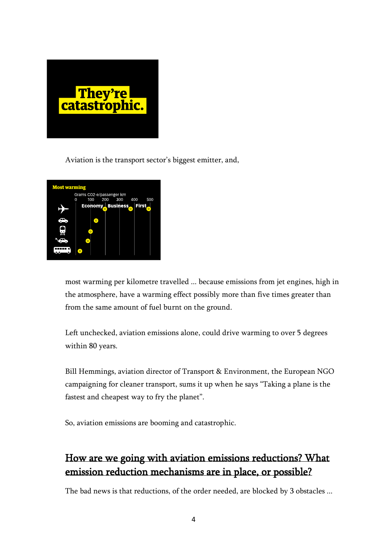

Aviation is the transport sector's biggest emitter, and,



most warming per kilometre travelled ... because emissions from jet engines, high in the atmosphere, have a warming effect possibly more than five times greater than from the same amount of fuel burnt on the ground.

Left unchecked, aviation emissions alone, could drive warming to over 5 degrees within 80 years.

Bill Hemmings, aviation director of Transport & Environment, the European NGO campaigning for cleaner transport, sums it up when he says "Taking a plane is the fastest and cheapest way to fry the planet".

So, aviation emissions are booming and catastrophic.

## How are we going with aviation emissions reductions? What emission reduction mechanisms are in place, or possible?

The bad news is that reductions, of the order needed, are blocked by 3 obstacles ...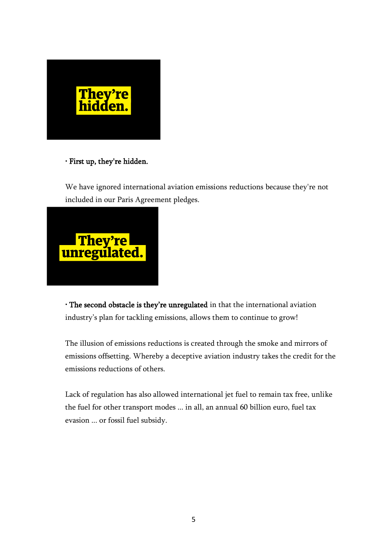

### • First up, they're hidden.

We have ignored international aviation emissions reductions because they're not included in our Paris Agreement pledges.



• The second obstacle is they're unregulated in that the international aviation industry's plan for tackling emissions, allows them to continue to grow!

The illusion of emissions reductions is created through the smoke and mirrors of emissions offsetting. Whereby a deceptive aviation industry takes the credit for the emissions reductions of others.

Lack of regulation has also allowed international jet fuel to remain tax free, unlike the fuel for other transport modes ... in all, an annual 60 billion euro, fuel tax evasion ... or fossil fuel subsidy.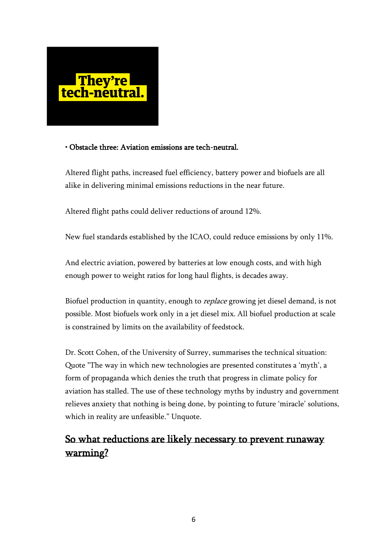

### • Obstacle three: Aviation emissions are tech-neutral.

Altered flight paths, increased fuel efficiency, battery power and biofuels are all alike in delivering minimal emissions reductions in the near future.

Altered flight paths could deliver reductions of around 12%.

New fuel standards established by the ICAO, could reduce emissions by only 11%.

And electric aviation, powered by batteries at low enough costs, and with high enough power to weight ratios for long haul flights, is decades away.

Biofuel production in quantity, enough to *replace* growing jet diesel demand, is not possible. Most biofuels work only in a jet diesel mix. All biofuel production at scale is constrained by limits on the availability of feedstock.

Dr. Scott Cohen, of the University of Surrey, summarises the technical situation: Quote "The way in which new technologies are presented constitutes a 'myth', a form of propaganda which denies the truth that progress in climate policy for aviation has stalled. The use of these technology myths by industry and government relieves anxiety that nothing is being done, by pointing to future 'miracle' solutions, which in reality are unfeasible." Unquote.

### So what reductions are likely necessary to prevent runaway warming?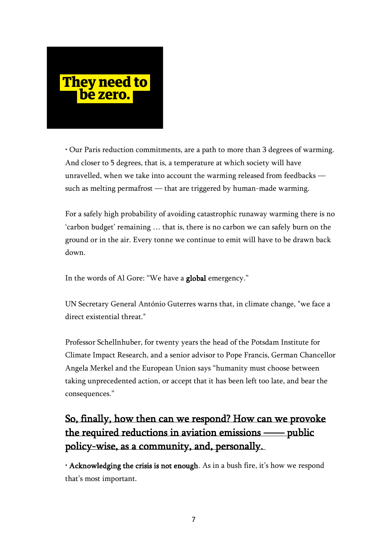

• Our Paris reduction commitments, are a path to more than 3 degrees of warming. And closer to 5 degrees, that is, a temperature at which society will have unravelled, when we take into account the warming released from feedbacks such as melting permafrost — that are triggered by human-made warming.

For a safely high probability of avoiding catastrophic runaway warming there is no 'carbon budget' remaining … that is, there is no carbon we can safely burn on the ground or in the air. Every tonne we continue to emit will have to be drawn back down.

In the words of Al Gore: "We have a global emergency."

UN Secretary General António Guterres warns that, in climate change, "we face a direct existential threat."

Professor Schellnhuber, for twenty years the head of the Potsdam Institute for Climate Impact Research, and a senior advisor to Pope Francis, German Chancellor Angela Merkel and the European Union says "humanity must choose between taking unprecedented action, or accept that it has been left too late, and bear the consequences."

# So, finally, how then can we respond? How can we provoke the required reductions in aviation emissions —— public policy-wise, as a community, and, personally.

• Acknowledging the crisis is not enough. As in a bush fire, it's how we respond that's most important.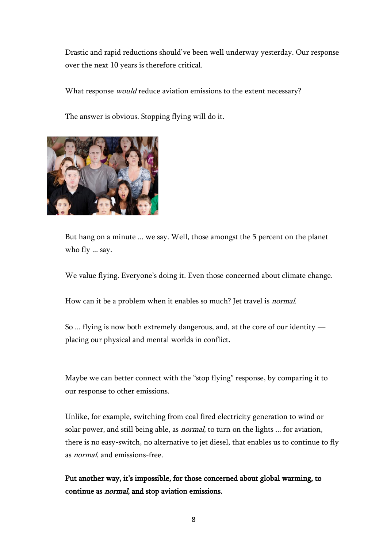Drastic and rapid reductions should've been well underway yesterday. Our response over the next 10 years is therefore critical.

What response *would* reduce aviation emissions to the extent necessary?

The answer is obvious. Stopping flying will do it.



But hang on a minute ... we say. Well, those amongst the 5 percent on the planet who fly ... say.

We value flying. Everyone's doing it. Even those concerned about climate change.

How can it be a problem when it enables so much? Jet travel is *normal*.

So ... flying is now both extremely dangerous, and, at the core of our identity placing our physical and mental worlds in conflict.

Maybe we can better connect with the "stop flying" response, by comparing it to our response to other emissions.

Unlike, for example, switching from coal fired electricity generation to wind or solar power, and still being able, as *normal*, to turn on the lights ... for aviation, there is no easy-switch, no alternative to jet diesel, that enables us to continue to fly as normal, and emissions-free.

Put another way, it's impossible, for those concerned about global warming, to continue as normal, and stop aviation emissions.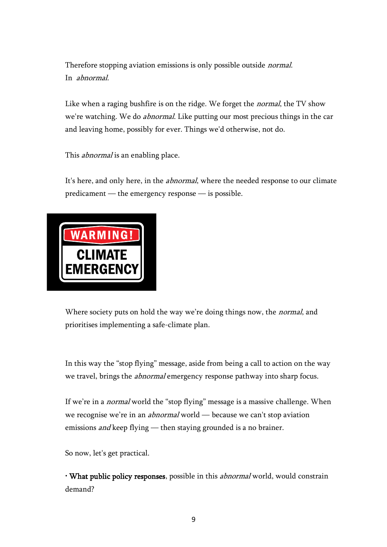Therefore stopping aviation emissions is only possible outside *normal*. In abnormal.

Like when a raging bushfire is on the ridge. We forget the *normal*, the TV show we're watching. We do abnormal. Like putting our most precious things in the car and leaving home, possibly for ever. Things we'd otherwise, not do.

This *abnormal* is an enabling place.

It's here, and only here, in the *abnormal*, where the needed response to our climate predicament — the emergency response — is possible.



Where society puts on hold the way we're doing things now, the *normal*, and prioritises implementing a safe-climate plan.

In this way the "stop flying" message, aside from being a call to action on the way we travel, brings the abnormal emergency response pathway into sharp focus.

If we're in a *normal* world the "stop flying" message is a massive challenge. When we recognise we're in an *abnormal* world — because we can't stop aviation emissions *and* keep flying — then staying grounded is a no brainer.

So now, let's get practical.

• What public policy responses, possible in this *abnormal* world, would constrain demand?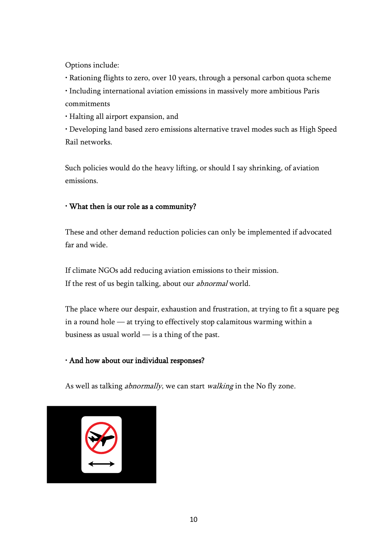Options include:

• Rationing flights to zero, over 10 years, through a personal carbon quota scheme

• Including international aviation emissions in massively more ambitious Paris commitments

• Halting all airport expansion, and

• Developing land based zero emissions alternative travel modes such as High Speed Rail networks.

Such policies would do the heavy lifting, or should I say shrinking, of aviation emissions.

### • What then is our role as a community?

These and other demand reduction policies can only be implemented if advocated far and wide.

If climate NGOs add reducing aviation emissions to their mission. If the rest of us begin talking, about our *abnormal* world.

The place where our despair, exhaustion and frustration, at trying to fit a square peg in a round hole — at trying to effectively stop calamitous warming within a business as usual world — is a thing of the past.

### • And how about our individual responses?

As well as talking *abnormally*, we can start *walking* in the No fly zone.